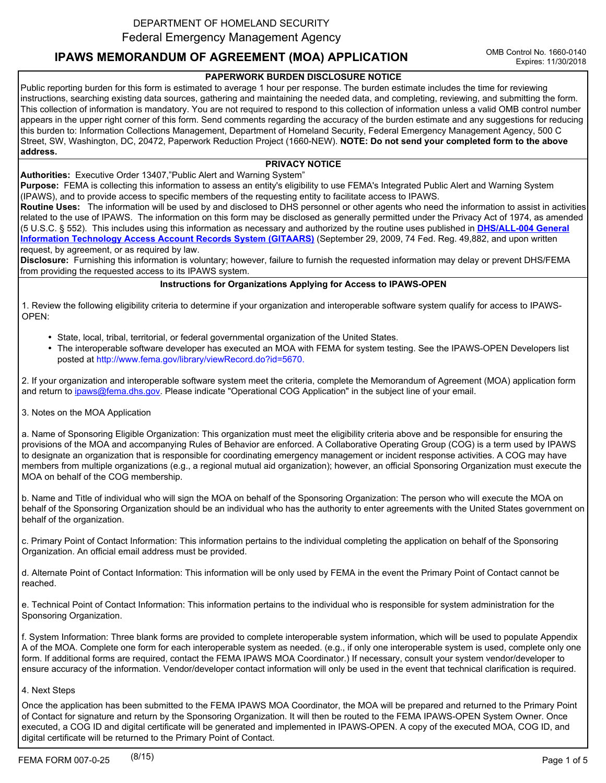#### DEPARTMENT OF HOMELAND SECURITY Federal Emergency Management Agency

**IPAWS MEMORANDUM OF AGREEMENT (MOA) APPLICATION**

**PAPERWORK BURDEN DISCLOSURE NOTICE** 

Public reporting burden for this form is estimated to average 1 hour per response. The burden estimate includes the time for reviewing instructions, searching existing data sources, gathering and maintaining the needed data, and completing, reviewing, and submitting the form. This collection of information is mandatory. You are not required to respond to this collection of information unless a valid OMB control number appears in the upper right corner of this form. Send comments regarding the accuracy of the burden estimate and any suggestions for reducing this burden to: Information Collections Management, Department of Homeland Security, Federal Emergency Management Agency, 500 C Street, SW, Washington, DC, 20472, Paperwork Reduction Project (1660-NEW). **NOTE: Do not send your completed form to the above address.**

#### **PRIVACY NOTICE**

**Authorities:** Executive Order 13407,"Public Alert and Warning System"

**Purpose:** FEMA is collecting this information to assess an entity's eligibility to use FEMA's Integrated Public Alert and Warning System (IPAWS), and to provide access to specific members of the requesting entity to facilitate access to IPAWS.

**Routine Uses:** The information will be used by and disclosed to DHS personnel or other agents who need the information to assist in activities related to the use of IPAWS. The information on this form may be disclosed as generally permitted under the Privacy Act of 1974, as amended (5 U.S.C. § 552). This includes using this information as necessary and authorized by the routine uses published in **[DHS/ALL-004 General](http://edocket.access.gpo.gov/2009/E9-23513.htm)  [Information Technology Access Account Records System \(GITAARS\)](http://edocket.access.gpo.gov/2009/E9-23513.htm)** (September 29, 2009, 74 Fed. Reg. 49,882, and upon written request, by agreement, or as required by law.

**Disclosure:** Furnishing this information is voluntary; however, failure to furnish the requested information may delay or prevent DHS/FEMA from providing the requested access to its IPAWS system.

#### **Instructions for Organizations Applying for Access to IPAWS-OPEN**

1. Review the following eligibility criteria to determine if your organization and interoperable software system qualify for access to IPAWS-OPEN:

- State, local, tribal, territorial, or federal governmental organization of the United States.
- The interoperable software developer has executed an MOA with FEMA for system testing. See the IPAWS-OPEN Developers list posted at http://www.fema.gov/library/viewRecord.do?id=5670.

2. If your organization and interoperable software system meet the criteria, complete the Memorandum of Agreement (MOA) application form and return to [ipaws@fema.dhs.gov.](mailto:ipaws@fema.dhs.gov?subject=Operational%20COG%20Application) Please indicate "Operational COG Application" in the subject line of your email.

3. Notes on the MOA Application

a. Name of Sponsoring Eligible Organization: This organization must meet the eligibility criteria above and be responsible for ensuring the provisions of the MOA and accompanying Rules of Behavior are enforced. A Collaborative Operating Group (COG) is a term used by IPAWS to designate an organization that is responsible for coordinating emergency management or incident response activities. A COG may have members from multiple organizations (e.g., a regional mutual aid organization); however, an official Sponsoring Organization must execute the MOA on behalf of the COG membership.

b. Name and Title of individual who will sign the MOA on behalf of the Sponsoring Organization: The person who will execute the MOA on behalf of the Sponsoring Organization should be an individual who has the authority to enter agreements with the United States government on behalf of the organization.

c. Primary Point of Contact Information: This information pertains to the individual completing the application on behalf of the Sponsoring Organization. An official email address must be provided.

d. Alternate Point of Contact Information: This information will be only used by FEMA in the event the Primary Point of Contact cannot be reached.

e. Technical Point of Contact Information: This information pertains to the individual who is responsible for system administration for the Sponsoring Organization.

f. System Information: Three blank forms are provided to complete interoperable system information, which will be used to populate Appendix A of the MOA. Complete one form for each interoperable system as needed. (e.g., if only one interoperable system is used, complete only one form. If additional forms are required, contact the FEMA IPAWS MOA Coordinator.) If necessary, consult your system vendor/developer to ensure accuracy of the information. Vendor/developer contact information will only be used in the event that technical clarification is required.

#### 4. Next Steps

 Once the application has been submitted to the FEMA IPAWS MOA Coordinator, the MOA will be prepared and returned to the Primary Point of Contact for signature and return by the Sponsoring Organization. It will then be routed to the FEMA IPAWS-OPEN System Owner. Once executed, a COG ID and digital certificate will be generated and implemented in IPAWS-OPEN. A copy of the executed MOA, COG ID, and digital certificate will be returned to the Primary Point of Contact.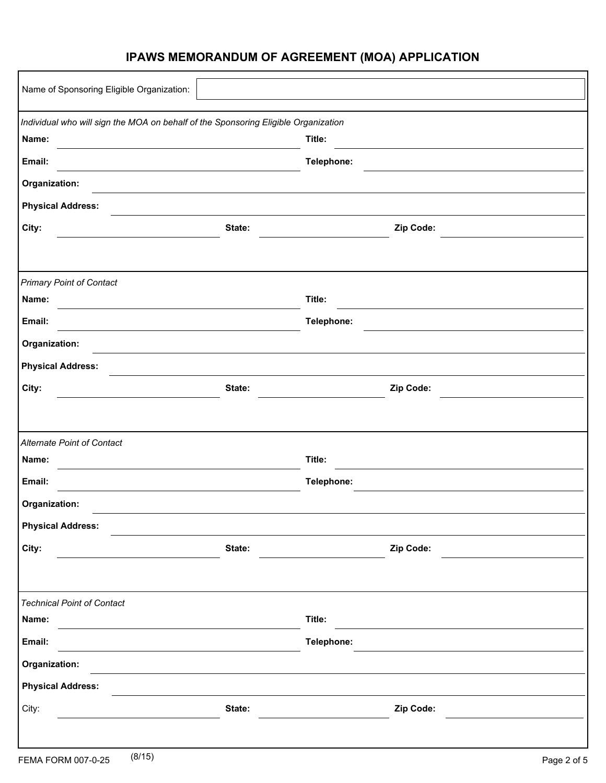| Name of Sponsoring Eligible Organization:                                          |        |            |                                               |  |
|------------------------------------------------------------------------------------|--------|------------|-----------------------------------------------|--|
| Individual who will sign the MOA on behalf of the Sponsoring Eligible Organization |        |            |                                               |  |
| Name:                                                                              |        | Title:     |                                               |  |
| Email:                                                                             |        | Telephone: |                                               |  |
| Organization:                                                                      |        |            |                                               |  |
| <b>Physical Address:</b>                                                           |        |            |                                               |  |
| City:                                                                              | State: |            | $\left  \mathbf{v} \right $<br>Zip Code:      |  |
| <b>Primary Point of Contact</b>                                                    |        |            |                                               |  |
| Name:                                                                              |        | Title:     |                                               |  |
| Email:                                                                             |        | Telephone: |                                               |  |
| Organization:                                                                      |        |            |                                               |  |
| <b>Physical Address:</b>                                                           |        |            |                                               |  |
| City:                                                                              | State: |            | Zip Code:<br>$\vert \blacktriangledown \vert$ |  |
|                                                                                    |        |            |                                               |  |
| Alternate Point of Contact                                                         |        |            |                                               |  |
| Name:                                                                              |        | Title:     |                                               |  |
| Email:                                                                             |        | Telephone: |                                               |  |
| Organization:                                                                      |        |            |                                               |  |
| <b>Physical Address:</b>                                                           |        |            |                                               |  |
| City:                                                                              | State: |            | Zip Code:<br>$\blacktriangledown$             |  |
|                                                                                    |        |            |                                               |  |
| <b>Technical Point of Contact</b>                                                  |        |            |                                               |  |
| Name:                                                                              |        | Title:     |                                               |  |
| Email:                                                                             |        | Telephone: |                                               |  |
| Organization:                                                                      |        |            |                                               |  |
| <b>Physical Address:</b>                                                           |        |            |                                               |  |
| City:                                                                              | State: |            | Zip Code:<br>$\left  \mathbf{v} \right $      |  |
|                                                                                    |        |            |                                               |  |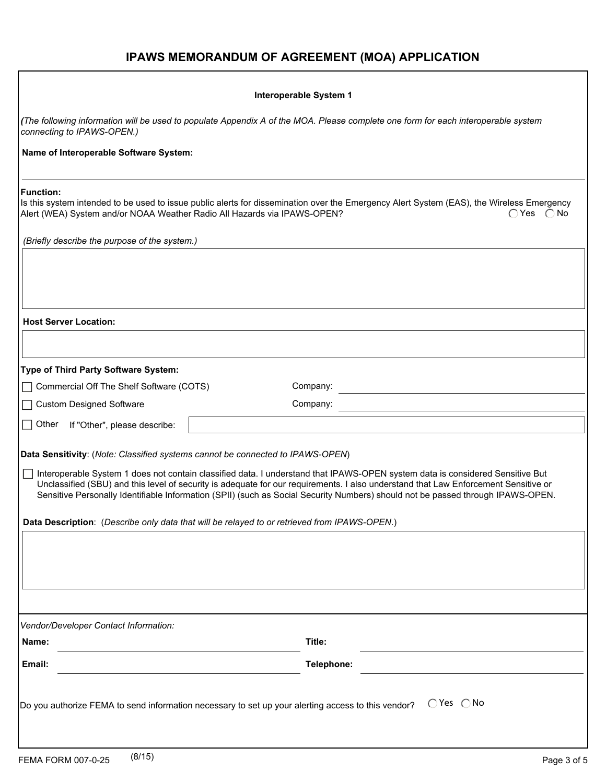| (The following information will be used to populate Appendix A of the MOA. Please complete one form for each interoperable system<br>connecting to IPAWS-OPEN.)<br>Name of Interoperable Software System:<br><b>Function:</b><br>Is this system intended to be used to issue public alerts for dissemination over the Emergency Alert System (EAS), the Wireless Emergency<br>Alert (WEA) System and/or NOAA Weather Radio All Hazards via IPAWS-OPEN?<br>(Briefly describe the purpose of the system.)<br><b>Host Server Location:</b> | $\bigcap$ Yes $\bigcap$ No |
|-----------------------------------------------------------------------------------------------------------------------------------------------------------------------------------------------------------------------------------------------------------------------------------------------------------------------------------------------------------------------------------------------------------------------------------------------------------------------------------------------------------------------------------------|----------------------------|
|                                                                                                                                                                                                                                                                                                                                                                                                                                                                                                                                         |                            |
|                                                                                                                                                                                                                                                                                                                                                                                                                                                                                                                                         |                            |
| Type of Third Party Software System:                                                                                                                                                                                                                                                                                                                                                                                                                                                                                                    |                            |
|                                                                                                                                                                                                                                                                                                                                                                                                                                                                                                                                         |                            |
|                                                                                                                                                                                                                                                                                                                                                                                                                                                                                                                                         |                            |
|                                                                                                                                                                                                                                                                                                                                                                                                                                                                                                                                         |                            |
|                                                                                                                                                                                                                                                                                                                                                                                                                                                                                                                                         |                            |
|                                                                                                                                                                                                                                                                                                                                                                                                                                                                                                                                         |                            |
| Commercial Off The Shelf Software (COTS)<br>Company:<br><u> 1980 - Jan Stein, amerikansk politiker (d. 1980)</u>                                                                                                                                                                                                                                                                                                                                                                                                                        |                            |
| <b>Custom Designed Software</b><br>Company:                                                                                                                                                                                                                                                                                                                                                                                                                                                                                             |                            |
| Other If "Other", please describe:                                                                                                                                                                                                                                                                                                                                                                                                                                                                                                      |                            |
| Data Sensitivity: (Note: Classified systems cannot be connected to IPAWS-OPEN)                                                                                                                                                                                                                                                                                                                                                                                                                                                          |                            |
| Interoperable System 1 does not contain classified data. I understand that IPAWS-OPEN system data is considered Sensitive But<br>Unclassified (SBU) and this level of security is adequate for our requirements. I also understand that Law Enforcement Sensitive or<br>Sensitive Personally Identifiable Information (SPII) (such as Social Security Numbers) should not be passed through IPAWS-OPEN.                                                                                                                                 |                            |
| Data Description: (Describe only data that will be relayed to or retrieved from IPAWS-OPEN.)                                                                                                                                                                                                                                                                                                                                                                                                                                            |                            |
|                                                                                                                                                                                                                                                                                                                                                                                                                                                                                                                                         |                            |
|                                                                                                                                                                                                                                                                                                                                                                                                                                                                                                                                         |                            |
|                                                                                                                                                                                                                                                                                                                                                                                                                                                                                                                                         |                            |
|                                                                                                                                                                                                                                                                                                                                                                                                                                                                                                                                         |                            |
| Vendor/Developer Contact Information:                                                                                                                                                                                                                                                                                                                                                                                                                                                                                                   |                            |
| Title:<br>Name:                                                                                                                                                                                                                                                                                                                                                                                                                                                                                                                         |                            |
| Email:<br>Telephone:                                                                                                                                                                                                                                                                                                                                                                                                                                                                                                                    |                            |
|                                                                                                                                                                                                                                                                                                                                                                                                                                                                                                                                         |                            |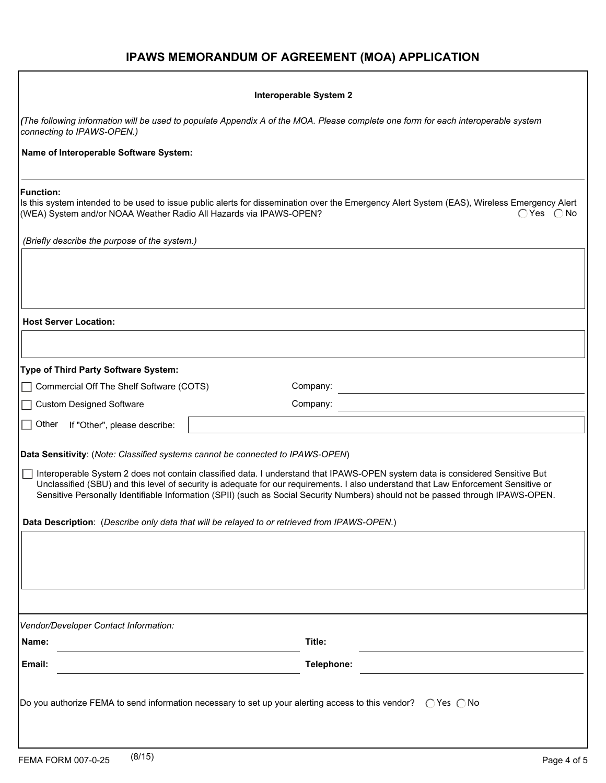| Interoperable System 2                                                                                                                                          |                                                                                                                                                                                                                                                                                                                                                                                                         |  |  |  |
|-----------------------------------------------------------------------------------------------------------------------------------------------------------------|---------------------------------------------------------------------------------------------------------------------------------------------------------------------------------------------------------------------------------------------------------------------------------------------------------------------------------------------------------------------------------------------------------|--|--|--|
| (The following information will be used to populate Appendix A of the MOA. Please complete one form for each interoperable system<br>connecting to IPAWS-OPEN.) |                                                                                                                                                                                                                                                                                                                                                                                                         |  |  |  |
| Name of Interoperable Software System:                                                                                                                          |                                                                                                                                                                                                                                                                                                                                                                                                         |  |  |  |
| <b>Function:</b><br>(WEA) System and/or NOAA Weather Radio All Hazards via IPAWS-OPEN?                                                                          | Is this system intended to be used to issue public alerts for dissemination over the Emergency Alert System (EAS), Wireless Emergency Alert<br>$\bigcap$ Yes $\bigcap$ No                                                                                                                                                                                                                               |  |  |  |
| (Briefly describe the purpose of the system.)                                                                                                                   |                                                                                                                                                                                                                                                                                                                                                                                                         |  |  |  |
|                                                                                                                                                                 |                                                                                                                                                                                                                                                                                                                                                                                                         |  |  |  |
| <b>Host Server Location:</b>                                                                                                                                    |                                                                                                                                                                                                                                                                                                                                                                                                         |  |  |  |
|                                                                                                                                                                 |                                                                                                                                                                                                                                                                                                                                                                                                         |  |  |  |
| Type of Third Party Software System:                                                                                                                            |                                                                                                                                                                                                                                                                                                                                                                                                         |  |  |  |
| Commercial Off The Shelf Software (COTS)                                                                                                                        | Company:<br><u> 1980 - Andrea State Barbara, poeta esperanto-</u>                                                                                                                                                                                                                                                                                                                                       |  |  |  |
| <b>Custom Designed Software</b>                                                                                                                                 | Company:                                                                                                                                                                                                                                                                                                                                                                                                |  |  |  |
| Other<br>If "Other", please describe:                                                                                                                           |                                                                                                                                                                                                                                                                                                                                                                                                         |  |  |  |
| Data Sensitivity: (Note: Classified systems cannot be connected to IPAWS-OPEN)                                                                                  |                                                                                                                                                                                                                                                                                                                                                                                                         |  |  |  |
|                                                                                                                                                                 | Interoperable System 2 does not contain classified data. I understand that IPAWS-OPEN system data is considered Sensitive But<br>Unclassified (SBU) and this level of security is adequate for our requirements. I also understand that Law Enforcement Sensitive or<br>Sensitive Personally Identifiable Information (SPII) (such as Social Security Numbers) should not be passed through IPAWS-OPEN. |  |  |  |
|                                                                                                                                                                 | Data Description: (Describe only data that will be relayed to or retrieved from IPAWS-OPEN.)                                                                                                                                                                                                                                                                                                            |  |  |  |
|                                                                                                                                                                 |                                                                                                                                                                                                                                                                                                                                                                                                         |  |  |  |
|                                                                                                                                                                 |                                                                                                                                                                                                                                                                                                                                                                                                         |  |  |  |
|                                                                                                                                                                 |                                                                                                                                                                                                                                                                                                                                                                                                         |  |  |  |
| Vendor/Developer Contact Information:                                                                                                                           |                                                                                                                                                                                                                                                                                                                                                                                                         |  |  |  |
| Name:                                                                                                                                                           | Title:                                                                                                                                                                                                                                                                                                                                                                                                  |  |  |  |
| Email:                                                                                                                                                          | Telephone:                                                                                                                                                                                                                                                                                                                                                                                              |  |  |  |
|                                                                                                                                                                 |                                                                                                                                                                                                                                                                                                                                                                                                         |  |  |  |
|                                                                                                                                                                 | Do you authorize FEMA to send information necessary to set up your alerting access to this vendor? $\bigcirc$ Yes $\bigcirc$ No                                                                                                                                                                                                                                                                         |  |  |  |
|                                                                                                                                                                 |                                                                                                                                                                                                                                                                                                                                                                                                         |  |  |  |
|                                                                                                                                                                 |                                                                                                                                                                                                                                                                                                                                                                                                         |  |  |  |